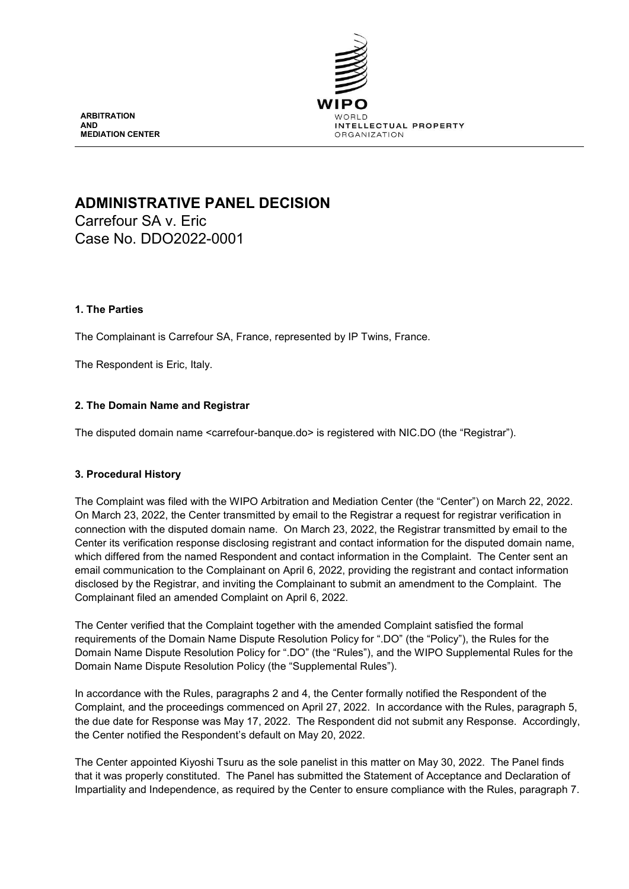

**ARBITRATION AND MEDIATION CENTER**

# **ADMINISTRATIVE PANEL DECISION**

Carrefour SA v. Eric Case No. DDO2022-0001

# **1. The Parties**

The Complainant is Carrefour SA, France, represented by IP Twins, France.

The Respondent is Eric, Italy.

# **2. The Domain Name and Registrar**

The disputed domain name <carrefour-banque.do> is registered with NIC.DO (the "Registrar").

# **3. Procedural History**

The Complaint was filed with the WIPO Arbitration and Mediation Center (the "Center") on March 22, 2022. On March 23, 2022, the Center transmitted by email to the Registrar a request for registrar verification in connection with the disputed domain name. On March 23, 2022, the Registrar transmitted by email to the Center its verification response disclosing registrant and contact information for the disputed domain name, which differed from the named Respondent and contact information in the Complaint. The Center sent an email communication to the Complainant on April 6, 2022, providing the registrant and contact information disclosed by the Registrar, and inviting the Complainant to submit an amendment to the Complaint. The Complainant filed an amended Complaint on April 6, 2022.

The Center verified that the Complaint together with the amended Complaint satisfied the formal requirements of the Domain Name Dispute Resolution Policy for ".DO" (the "Policy"), the Rules for the Domain Name Dispute Resolution Policy for ".DO" (the "Rules"), and the WIPO Supplemental Rules for the Domain Name Dispute Resolution Policy (the "Supplemental Rules").

In accordance with the Rules, paragraphs 2 and 4, the Center formally notified the Respondent of the Complaint, and the proceedings commenced on April 27, 2022. In accordance with the Rules, paragraph 5, the due date for Response was May 17, 2022. The Respondent did not submit any Response. Accordingly, the Center notified the Respondent's default on May 20, 2022.

The Center appointed Kiyoshi Tsuru as the sole panelist in this matter on May 30, 2022. The Panel finds that it was properly constituted. The Panel has submitted the Statement of Acceptance and Declaration of Impartiality and Independence, as required by the Center to ensure compliance with the Rules, paragraph 7.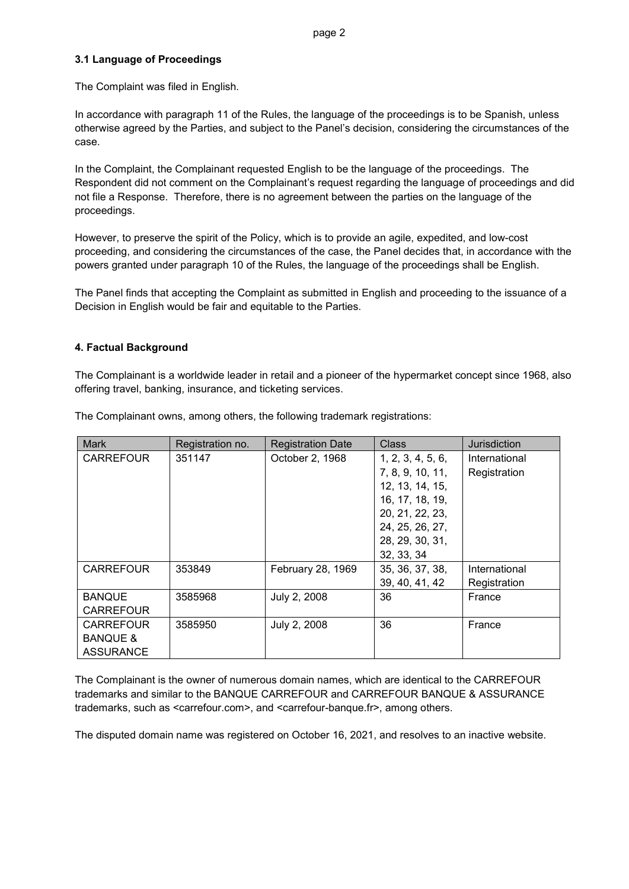# **3.1 Language of Proceedings**

The Complaint was filed in English.

In accordance with paragraph 11 of the Rules, the language of the proceedings is to be Spanish, unless otherwise agreed by the Parties, and subject to the Panel's decision, considering the circumstances of the case.

In the Complaint, the Complainant requested English to be the language of the proceedings. The Respondent did not comment on the Complainant's request regarding the language of proceedings and did not file a Response. Therefore, there is no agreement between the parties on the language of the proceedings.

However, to preserve the spirit of the Policy, which is to provide an agile, expedited, and low-cost proceeding, and considering the circumstances of the case, the Panel decides that, in accordance with the powers granted under paragraph 10 of the Rules, the language of the proceedings shall be English.

The Panel finds that accepting the Complaint as submitted in English and proceeding to the issuance of a Decision in English would be fair and equitable to the Parties.

# **4. Factual Background**

The Complainant is a worldwide leader in retail and a pioneer of the hypermarket concept since 1968, also offering travel, banking, insurance, and ticketing services.

| <b>Mark</b>         | Registration no. | <b>Registration Date</b> | <b>Class</b>      | Jurisdiction  |
|---------------------|------------------|--------------------------|-------------------|---------------|
| <b>CARREFOUR</b>    | 351147           | October 2, 1968          | 1, 2, 3, 4, 5, 6, | International |
|                     |                  |                          | 7, 8, 9, 10, 11,  | Registration  |
|                     |                  |                          | 12, 13, 14, 15,   |               |
|                     |                  |                          | 16, 17, 18, 19,   |               |
|                     |                  |                          | 20, 21, 22, 23,   |               |
|                     |                  |                          | 24, 25, 26, 27,   |               |
|                     |                  |                          | 28, 29, 30, 31,   |               |
|                     |                  |                          | 32, 33, 34        |               |
| <b>CARREFOUR</b>    | 353849           | February 28, 1969        | 35, 36, 37, 38,   | International |
|                     |                  |                          | 39, 40, 41, 42    | Registration  |
| <b>BANQUE</b>       | 3585968          | July 2, 2008             | 36                | France        |
| <b>CARREFOUR</b>    |                  |                          |                   |               |
| <b>CARREFOUR</b>    | 3585950          | July 2, 2008             | 36                | France        |
| <b>BANQUE &amp;</b> |                  |                          |                   |               |
| <b>ASSURANCE</b>    |                  |                          |                   |               |

The Complainant owns, among others, the following trademark registrations:

The Complainant is the owner of numerous domain names, which are identical to the CARREFOUR trademarks and similar to the BANQUE CARREFOUR and CARREFOUR BANQUE & ASSURANCE trademarks, such as <carrefour.com>, and <carrefour-banque.fr>, among others.

The disputed domain name was registered on October 16, 2021, and resolves to an inactive website.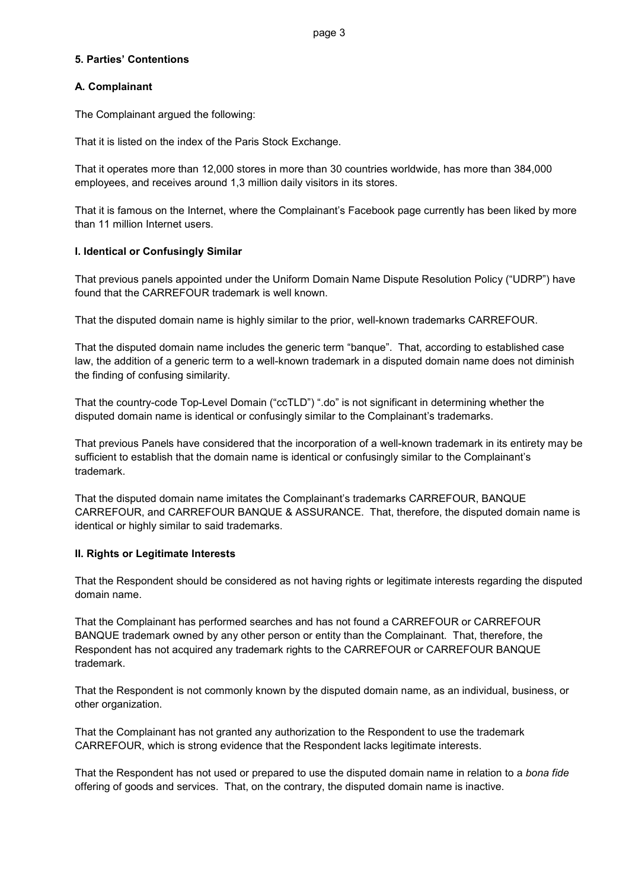# **5. Parties' Contentions**

# **A. Complainant**

The Complainant argued the following:

That it is listed on the index of the Paris Stock Exchange.

That it operates more than 12,000 stores in more than 30 countries worldwide, has more than 384,000 employees, and receives around 1,3 million daily visitors in its stores.

That it is famous on the Internet, where the Complainant's Facebook page currently has been liked by more than 11 million Internet users.

# **I. Identical or Confusingly Similar**

That previous panels appointed under the Uniform Domain Name Dispute Resolution Policy ("UDRP") have found that the CARREFOUR trademark is well known.

That the disputed domain name is highly similar to the prior, well-known trademarks CARREFOUR.

That the disputed domain name includes the generic term "banque". That, according to established case law, the addition of a generic term to a well-known trademark in a disputed domain name does not diminish the finding of confusing similarity.

That the country-code Top-Level Domain ("ccTLD") ".do" is not significant in determining whether the disputed domain name is identical or confusingly similar to the Complainant's trademarks.

That previous Panels have considered that the incorporation of a well-known trademark in its entirety may be sufficient to establish that the domain name is identical or confusingly similar to the Complainant's trademark.

That the disputed domain name imitates the Complainant's trademarks CARREFOUR, BANQUE CARREFOUR, and CARREFOUR BANQUE & ASSURANCE. That, therefore, the disputed domain name is identical or highly similar to said trademarks.

### **II. Rights or Legitimate Interests**

That the Respondent should be considered as not having rights or legitimate interests regarding the disputed domain name.

That the Complainant has performed searches and has not found a CARREFOUR or CARREFOUR BANQUE trademark owned by any other person or entity than the Complainant. That, therefore, the Respondent has not acquired any trademark rights to the CARREFOUR or CARREFOUR BANQUE trademark.

That the Respondent is not commonly known by the disputed domain name, as an individual, business, or other organization.

That the Complainant has not granted any authorization to the Respondent to use the trademark CARREFOUR, which is strong evidence that the Respondent lacks legitimate interests.

That the Respondent has not used or prepared to use the disputed domain name in relation to a *bona fide* offering of goods and services. That, on the contrary, the disputed domain name is inactive.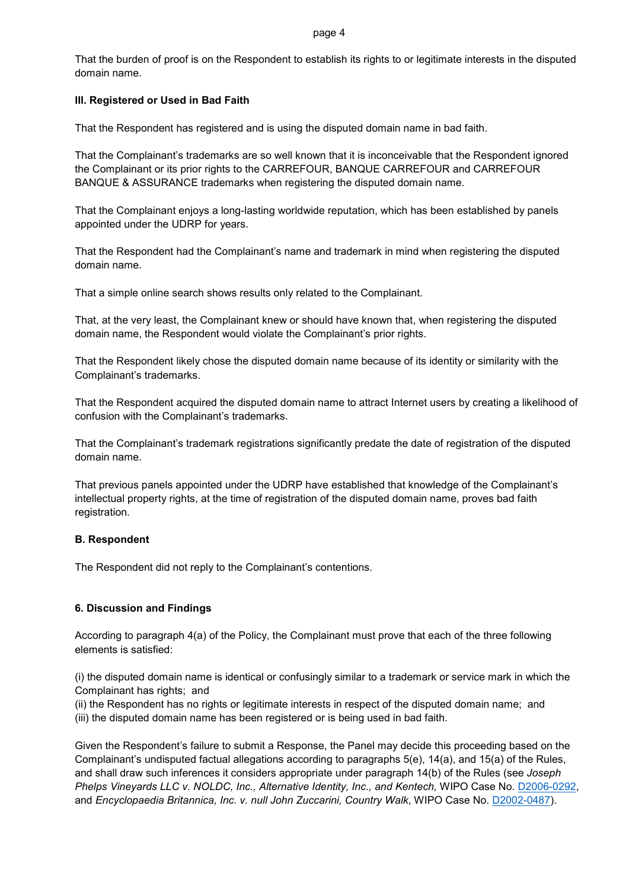#### page 4

That the burden of proof is on the Respondent to establish its rights to or legitimate interests in the disputed domain name.

# **III. Registered or Used in Bad Faith**

That the Respondent has registered and is using the disputed domain name in bad faith.

That the Complainant's trademarks are so well known that it is inconceivable that the Respondent ignored the Complainant or its prior rights to the CARREFOUR, BANQUE CARREFOUR and CARREFOUR BANQUE & ASSURANCE trademarks when registering the disputed domain name.

That the Complainant enjoys a long-lasting worldwide reputation, which has been established by panels appointed under the UDRP for years.

That the Respondent had the Complainant's name and trademark in mind when registering the disputed domain name.

That a simple online search shows results only related to the Complainant.

That, at the very least, the Complainant knew or should have known that, when registering the disputed domain name, the Respondent would violate the Complainant's prior rights.

That the Respondent likely chose the disputed domain name because of its identity or similarity with the Complainant's trademarks.

That the Respondent acquired the disputed domain name to attract Internet users by creating a likelihood of confusion with the Complainant's trademarks.

That the Complainant's trademark registrations significantly predate the date of registration of the disputed domain name.

That previous panels appointed under the UDRP have established that knowledge of the Complainant's intellectual property rights, at the time of registration of the disputed domain name, proves bad faith registration.

### **B. Respondent**

The Respondent did not reply to the Complainant's contentions.

### **6. Discussion and Findings**

According to paragraph 4(a) of the Policy, the Complainant must prove that each of the three following elements is satisfied:

(i) the disputed domain name is identical or confusingly similar to a trademark or service mark in which the Complainant has rights; and

(ii) the Respondent has no rights or legitimate interests in respect of the disputed domain name; and (iii) the disputed domain name has been registered or is being used in bad faith.

Given the Respondent's failure to submit a Response, the Panel may decide this proceeding based on the Complainant's undisputed factual allegations according to paragraphs 5(e), 14(a), and 15(a) of the Rules, and shall draw such inferences it considers appropriate under paragraph 14(b) of the Rules (see *Joseph Phelps Vineyards LLC v. NOLDC, Inc., Alternative Identity, Inc., and Kentech,* WIPO Case No. [D2006-0292,](https://www.wipo.int/amc/en/domains/decisions/html/2006/d2006-0292.html) and *Encyclopaedia Britannica, Inc. v. null John Zuccarini, Country Walk*, WIPO Case No. [D2002-0487\)](https://www.wipo.int/amc/en/domains/decisions/html/2002/d2002-0487.html).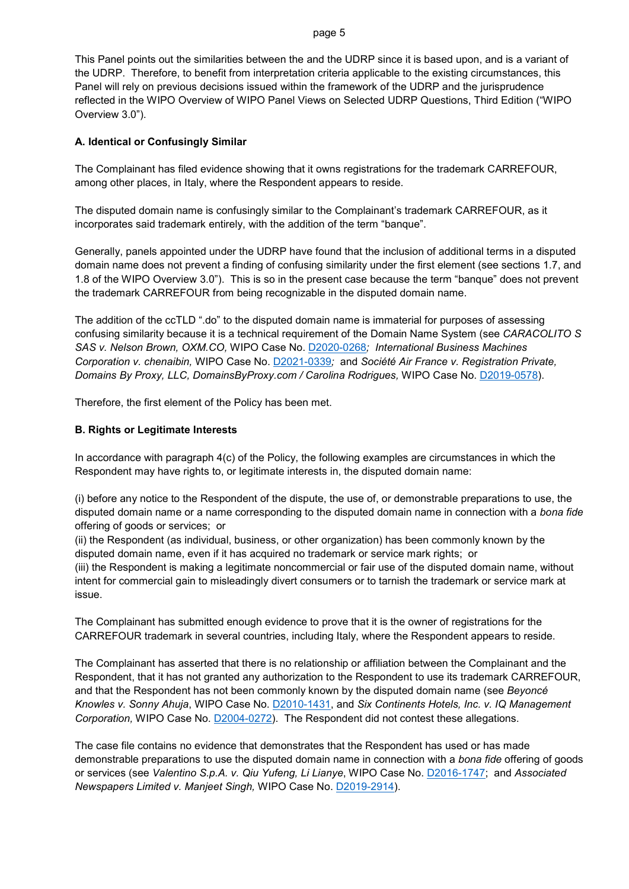#### page 5

This Panel points out the similarities between the and the UDRP since it is based upon, and is a variant of the UDRP. Therefore, to benefit from interpretation criteria applicable to the existing circumstances, this Panel will rely on previous decisions issued within the framework of the UDRP and the jurisprudence reflected in the WIPO Overview of WIPO Panel Views on Selected UDRP Questions, Third Edition ("WIPO Overview 3.0").

### **A. Identical or Confusingly Similar**

The Complainant has filed evidence showing that it owns registrations for the trademark CARREFOUR, among other places, in Italy, where the Respondent appears to reside.

The disputed domain name is confusingly similar to the Complainant's trademark CARREFOUR, as it incorporates said trademark entirely, with the addition of the term "banque".

Generally, panels appointed under the UDRP have found that the inclusion of additional terms in a disputed domain name does not prevent a finding of confusing similarity under the first element (see sections 1.7, and 1.8 of the WIPO Overview 3.0"). This is so in the present case because the term "banque" does not prevent the trademark CARREFOUR from being recognizable in the disputed domain name.

The addition of the ccTLD ".do" to the disputed domain name is immaterial for purposes of assessing confusing similarity because it is a technical requirement of the Domain Name System (see *CARACOLITO S SAS v. Nelson Brown, OXM.CO,* WIPO Case No. [D2020-0268](https://www.wipo.int/amc/en/domains/search/text.jsp?case=D2020-0268)*; International Business Machines Corporation v. chenaibin,* WIPO Case No. [D2021-0339](https://www.wipo.int/amc/en/domains/search/text.jsp?case=D2021-0339)*;* and *Société Air France v. Registration Private, Domains By Proxy, LLC, DomainsByProxy.com / Carolina Rodrigues,* WIPO Case No. [D2019-0578\)](https://www.wipo.int/amc/en/domains/search/text.jsp?case=D2019-0578).

Therefore, the first element of the Policy has been met.

### **B. Rights or Legitimate Interests**

issue.

In accordance with paragraph 4(c) of the Policy, the following examples are circumstances in which the Respondent may have rights to, or legitimate interests in, the disputed domain name:

(i) before any notice to the Respondent of the dispute, the use of, or demonstrable preparations to use, the disputed domain name or a name corresponding to the disputed domain name in connection with a *bona fide* offering of goods or services; or

(ii) the Respondent (as individual, business, or other organization) has been commonly known by the disputed domain name, even if it has acquired no trademark or service mark rights; or (iii) the Respondent is making a legitimate noncommercial or fair use of the disputed domain name, without intent for commercial gain to misleadingly divert consumers or to tarnish the trademark or service mark at

The Complainant has submitted enough evidence to prove that it is the owner of registrations for the CARREFOUR trademark in several countries, including Italy, where the Respondent appears to reside.

The Complainant has asserted that there is no relationship or affiliation between the Complainant and the Respondent, that it has not granted any authorization to the Respondent to use its trademark CARREFOUR, and that the Respondent has not been commonly known by the disputed domain name (see *Beyoncé Knowles v. Sonny Ahuja*, WIPO Case No. [D2010-1431,](https://www.wipo.int/amc/en/domains/decisions/html/2010/d2010-1431.html) and *Six Continents Hotels, Inc. v. IQ Management Corporation,* WIPO Case No. [D2004-0272\)](https://www.wipo.int/amc/en/domains/decisions/html/2004/d2004-0272.html). The Respondent did not contest these allegations.

The case file contains no evidence that demonstrates that the Respondent has used or has made demonstrable preparations to use the disputed domain name in connection with a *bona fide* offering of goods or services (see *Valentino S.p.A. v. Qiu Yufeng, Li Lianye*, WIPO Case No. [D2016-1747;](https://www.wipo.int/amc/en/domains/search/text.jsp?case=D2016-1747) and *Associated Newspapers Limited v. Manjeet Singh,* WIPO Case No. [D2019-2914\)](https://www.wipo.int/amc/en/domains/search/text.jsp?case=D2019-2914).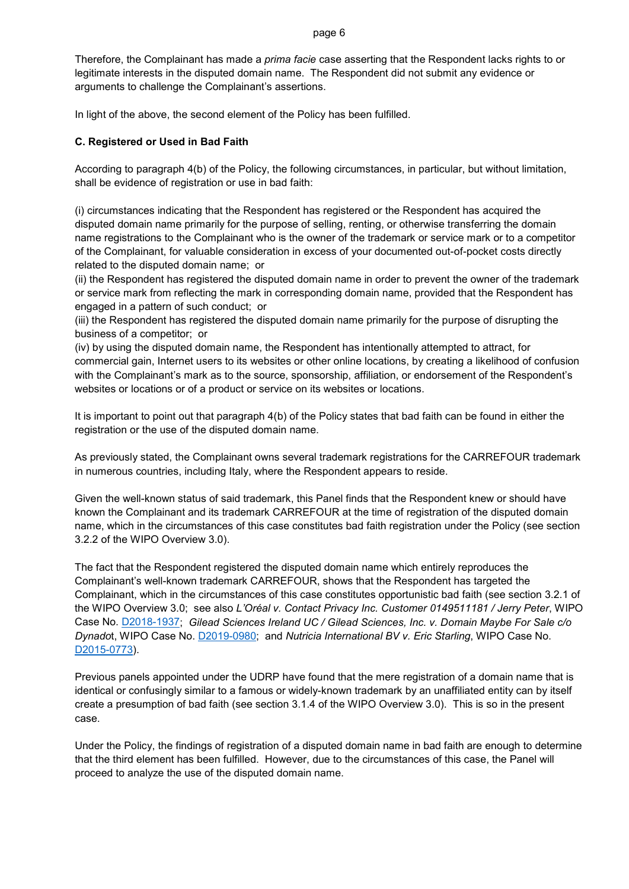Therefore, the Complainant has made a *prima facie* case asserting that the Respondent lacks rights to or legitimate interests in the disputed domain name. The Respondent did not submit any evidence or arguments to challenge the Complainant's assertions.

In light of the above, the second element of the Policy has been fulfilled.

# **C. Registered or Used in Bad Faith**

According to paragraph 4(b) of the Policy, the following circumstances, in particular, but without limitation, shall be evidence of registration or use in bad faith:

(i) circumstances indicating that the Respondent has registered or the Respondent has acquired the disputed domain name primarily for the purpose of selling, renting, or otherwise transferring the domain name registrations to the Complainant who is the owner of the trademark or service mark or to a competitor of the Complainant, for valuable consideration in excess of your documented out-of-pocket costs directly related to the disputed domain name; or

(ii) the Respondent has registered the disputed domain name in order to prevent the owner of the trademark or service mark from reflecting the mark in corresponding domain name, provided that the Respondent has engaged in a pattern of such conduct; or

(iii) the Respondent has registered the disputed domain name primarily for the purpose of disrupting the business of a competitor; or

(iv) by using the disputed domain name, the Respondent has intentionally attempted to attract, for commercial gain, Internet users to its websites or other online locations, by creating a likelihood of confusion with the Complainant's mark as to the source, sponsorship, affiliation, or endorsement of the Respondent's websites or locations or of a product or service on its websites or locations.

It is important to point out that paragraph 4(b) of the Policy states that bad faith can be found in either the registration or the use of the disputed domain name.

As previously stated, the Complainant owns several trademark registrations for the CARREFOUR trademark in numerous countries, including Italy, where the Respondent appears to reside.

Given the well-known status of said trademark, this Panel finds that the Respondent knew or should have known the Complainant and its trademark CARREFOUR at the time of registration of the disputed domain name, which in the circumstances of this case constitutes bad faith registration under the Policy (see section 3.2.2 of the WIPO Overview 3.0).

The fact that the Respondent registered the disputed domain name which entirely reproduces the Complainant's well-known trademark CARREFOUR, shows that the Respondent has targeted the Complainant, which in the circumstances of this case constitutes opportunistic bad faith (see section 3.2.1 of the WIPO Overview 3.0; see also *L'Oréal v. Contact Privacy Inc. Customer 0149511181 / Jerry Peter*, WIPO Case No. [D2018-1937;](https://www.wipo.int/amc/en/domains/search/text.jsp?case=D2018-1937) *Gilead Sciences Ireland UC / Gilead Sciences, Inc. v. Domain Maybe For Sale c/o Dynado*t, WIPO Case No. [D2019-0980;](https://www.wipo.int/amc/en/domains/search/text.jsp?case=D2019-0980) and *Nutricia International BV v. Eric Starling*, WIPO Case No. [D2015-0773\)](https://www.wipo.int/amc/en/domains/search/text.jsp?case=D2015-0773).

Previous panels appointed under the UDRP have found that the mere registration of a domain name that is identical or confusingly similar to a famous or widely-known trademark by an unaffiliated entity can by itself create a presumption of bad faith (see section 3.1.4 of the WIPO Overview 3.0). This is so in the present case.

Under the Policy, the findings of registration of a disputed domain name in bad faith are enough to determine that the third element has been fulfilled. However, due to the circumstances of this case, the Panel will proceed to analyze the use of the disputed domain name.